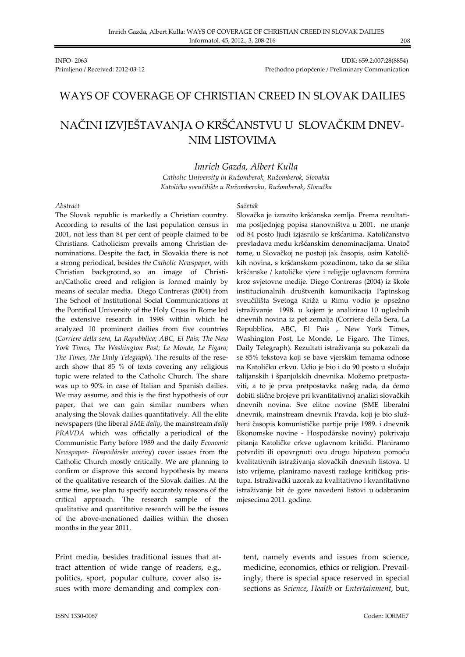INFO- 2063 UDK: 659.2:007:28(8854) Primljeno / Received: 2012-03-12 Prethodno priopćenje / Preliminary Communication

## WAYS OF COVERAGE OF CHRISTIAN CREED IN SLOVAK DAILIES

# NAČINI IZVJEŠTAVANJA O KRŠĆANSTVU U SLOVAČKIM DNEV-NIM LISTOVIMA

#### *Imrich Gazda, Albert Kulla*

*Catholic University in Ružomberok, Ružomberok, Slovakia Katoličko sveučilište u Ružomberoku, Ružomberok, Slovačka*

#### *Abstract*

The Slovak republic is markedly a Christian country. According to results of the last population census in 2001, not less than 84 per cent of people claimed to be Christians. Catholicism prevails among Christian denominations. Despite the fact, in Slovakia there is not a strong periodical, besides *the Catholic Newspaper*, with Christian background, so an image of Christian/Catholic creed and religion is formed mainly by means of secular media. Diego Contreras (2004) from The School of Institutional Social Communications at the Pontifical University of the Holy Cross in Rome led the extensive research in 1998 within which he analyzed 10 prominent dailies from five countries (*Corriere della sera*, *La Repubblica; ABC, El País; The New York Times, The Washington Post; Le Monde, Le Figaro; The Times*, *The Daily Telegraph*). The results of the research show that 85 % of texts covering any religious topic were related to the Catholic Church. The share was up to 90% in case of Italian and Spanish dailies. We may assume, and this is the first hypothesis of our paper, that we can gain similar numbers when analysing the Slovak dailies quantitatively. All the elite newspapers (the liberal *SME daily*, the mainstream *daily PRAVDA* which was officially a periodical of the Communistic Party before 1989 and the daily *Economic Newspaper- Hospodárske noviny*) cover issues from the Catholic Church mostly critically. We are planning to confirm or disprove this second hypothesis by means of the qualitative research of the Slovak dailies. At the same time, we plan to specify accurately reasons of the critical approach. The research sample of the qualitative and quantitative research will be the issues of the above-menationed dailies within the chosen months in the year 2011.

Print media, besides traditional issues that attract attention of wide range of readers, e.g., politics, sport, popular culture, cover also issues with more demanding and complex con-

#### *Sažetak*

Slovačka je izrazito kršćanska zemlja. Prema rezultatima posljednjeg popisa stanovništva u 2001, ne manje od 84 posto ljudi izjasnilo se kršćanima. Katoličanstvo prevladava među kršćanskim denominacijama. Unatoč tome, u Slovačkoj ne postoji jak časopis, osim Katoličkih novina, s kršćanskom pozadinom, tako da se slika kršćanske / katoličke vjere i religije uglavnom formira kroz svjetovne medije. Diego Contreras (2004) iz škole institucionalnih društvenih komunikacija Papinskog sveučilišta Svetoga Križa u Rimu vodio je opsežno istraživanje 1998. u kojem je analizirao 10 uglednih dnevnih novina iz pet zemalja (Corriere della Sera, La Repubblica, ABC, El Pais , New York Times, Washington Post, Le Monde, Le Figaro, The Times, Daily Telegraph). Rezultati istraživanja su pokazali da se 85% tekstova koji se bave vjerskim temama odnose na Katoličku crkvu. Udio je bio i do 90 posto u slučaju talijanskih i španjolskih dnevnika. Možemo pretpostaviti, a to je prva pretpostavka našeg rada, da ćemo dobiti slične brojeve pri kvantitativnoj analizi slovačkih dnevnih novina. Sve elitne novine (SME liberalni dnevnik, mainstream dnevnik Pravda, koji je bio službeni časopis komunističke partije prije 1989. i dnevnik Ekonomske novine - Hospodárske noviny) pokrivaju pitanja Katoličke crkve uglavnom kritički. Planiramo potvrditi ili opovrgnuti ovu drugu hipotezu pomoću kvalitativnih istraživanja slovačkih dnevnih listova. U isto vrijeme, planiramo navesti razloge kritičkog pristupa. Istraživački uzorak za kvalitativno i kvantitativno istraživanje bit će gore navedeni listovi u odabranim mjesecima 2011. godine.

tent, namely events and issues from science, medicine, economics, ethics or religion. Prevailingly, there is special space reserved in special sections as *Science, Health* or *Entertainment,* but,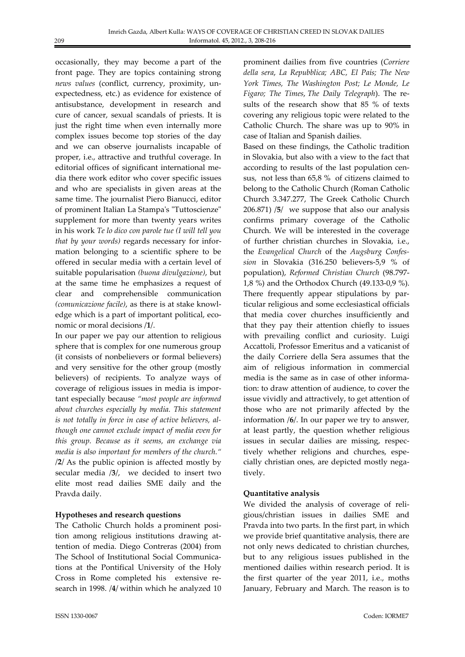occasionally, they may become a part of the front page. They are topics containing strong *news values* (conflict, currency, proximity, unexpectedness, etc.) as evidence for existence of antisubstance, development in research and cure of cancer, sexual scandals of priests. It is just the right time when even internally more complex issues become top stories of the day and we can observe journalists incapable of proper, i.e., attractive and truthful coverage. In editorial offices of significant international media there work editor who cover specific issues and who are specialists in given areas at the same time. The journalist Piero Bianucci, editor of prominent Italian La Stampa's "Tuttoscienze" supplement for more than twenty years writes in his work *Te lo dico con parole tue (I will tell you that by your words)* regards necessary for information belonging to a scientific sphere to be offered in secular media with a certain level of suitable popularisation *(buona divulgazione)*, but at the same time he emphasizes a request of clear and comprehensible communication *(comunicazione facile)*, as there is at stake knowledge which is a part of important political, economic or moral decisions /**1**/.

In our paper we pay our attention to religious sphere that is complex for one numerous group (it consists of nonbelievers or formal believers) and very sensitive for the other group (mostly believers) of recipients. To analyze ways of coverage of religious issues in media is important especially because *"most people are informed about churches especially by media. This statement is not totally in force in case of active believers, although one cannot exclude impact of media even for this group. Because as it seems, an exchange via media is also important for members of the church."* /**2**/ As the public opinion is affected mostly by secular media /**3**/, we decided to insert two elite most read dailies SME daily and the Pravda daily.

#### **Hypotheses and research questions**

The Catholic Church holds a prominent position among religious institutions drawing attention of media. Diego Contreras (2004) from The School of Institutional Social Communications at the Pontifical University of the Holy Cross in Rome completed his extensive research in 1998. /**4**/ within which he analyzed 10 prominent dailies from five countries (*Corriere della sera*, *La Repubblica; ABC, El País; The New York Times, The Washington Post; Le Monde, Le Figaro; The Times*, *The Daily Telegraph*). The results of the research show that 85 % of texts covering any religious topic were related to the Catholic Church. The share was up to 90% in case of Italian and Spanish dailies.

Based on these findings, the Catholic tradition in Slovakia, but also with a view to the fact that according to results of the last population census, not less than 65,8 % of citizens claimed to belong to the Catholic Church (Roman Catholic Church 3.347.277, The Greek Catholic Church 206.871) /**5**/ we suppose that also our analysis confirms primary coverage of the Catholic Church. We will be interested in the coverage of further christian churches in Slovakia, i.e., the *Evangelical Church* of the *Augsburg Confession* in Slovakia (316.250 believers-5,9 % of population), *Reformed Christian Church* (98.797- 1,8 %) and the Orthodox Church (49.133-0,9 %). There frequently appear stipulations by particular religious and some ecclesiastical officials that media cover churches insufficiently and that they pay their attention chiefly to issues with prevailing conflict and curiosity. Luigi Accattoli, Professor Emeritus and a vaticanist of the daily Corriere della Sera assumes that the aim of religious information in commercial media is the same as in case of other information: to draw attention of audience, to cover the issue vividly and attractively, to get attention of those who are not primarily affected by the information /**6**/. In our paper we try to answer, at least partly, the question whether religious issues in secular dailies are missing, respectively whether religions and churches, especially christian ones, are depicted mostly negatively.

## **Quantitative analysis**

We divided the analysis of coverage of religious/christian issues in dailies SME and Pravda into two parts. In the first part, in which we provide brief quantitative analysis, there are not only news dedicated to christian churches, but to any religious issues published in the mentioned dailies within research period. It is the first quarter of the year 2011, i.e., moths January, February and March. The reason is to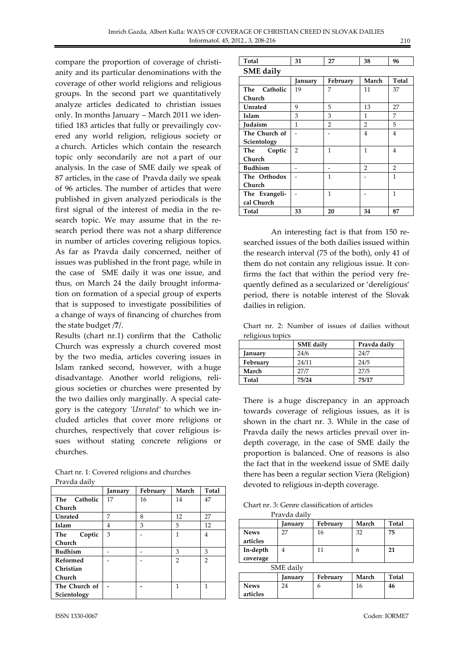compare the proportion of coverage of christianity and its particular denominations with the coverage of other world religions and religious groups. In the second part we quantitatively analyze articles dedicated to christian issues only. In months January – March 2011 we identified 183 articles that fully or prevailingly covered any world religion, religious society or a church. Articles which contain the research topic only secondarily are not a part of our analysis. In the case of SME daily we speak of 87 articles, in the case of Pravda daily we speak of 96 articles. The number of articles that were published in given analyzed periodicals is the first signal of the interest of media in the research topic. We may assume that in the research period there was not a sharp difference in number of articles covering religious topics. As far as Pravda daily concerned, neither of issues was published in the front page, while in the case of SME daily it was one issue, and thus, on March 24 the daily brought information on formation of a special group of experts that is supposed to investigate possibilities of a change of ways of financing of churches from the state budget /**7**/.

Results (chart nr.1) confirm that the Catholic Church was expressly a church covered most by the two media, articles covering issues in Islam ranked second, however, with a huge disadvantage. Another world religions, religious societies or churches were presented by the two dailies only marginally. A special category is the category *'Unrated'* to which we included articles that cover more religions or churches, respectively that cover religious issues without stating concrete religions or churches.

| 1 Iavua ualiv   |         |          |                |                |
|-----------------|---------|----------|----------------|----------------|
|                 | January | February | March          | Total          |
| The Catholic    | 17      | 16       | 14             | 47             |
| Church          |         |          |                |                |
| Unrated         | 7       | 8        | 12             | 27             |
| Islam           | 4       | 3        | 5              | 12             |
| Coptic<br>The   | 3       |          | 1              | 4              |
| Church          |         |          |                |                |
| <b>Budhism</b>  |         |          | 3              | 3              |
| <b>Reformed</b> |         |          | $\overline{2}$ | $\overline{2}$ |
| Christian       |         |          |                |                |
| Church          |         |          |                |                |
| The Church of   |         |          | 1              | 1              |
| Scientology     |         |          |                |                |

| Chart nr. 1: Covered religions and churches |
|---------------------------------------------|
| Pravda daily                                |

| ISSN 1330-0067 | Coden: IORME7 |
|----------------|---------------|
|                |               |

| Total            | o. | 38 | 96 |
|------------------|----|----|----|
| <b>SME</b> daily |    |    |    |

|                | January        | February       | March          | Total |
|----------------|----------------|----------------|----------------|-------|
| The Catholic   | 19             | 7              | 11             | 37    |
| Church         |                |                |                |       |
| <b>Unrated</b> | 9              | 5              | 13             | 27    |
| Islam          | 3              | 3              | 1              | 7     |
| Judaism        | 1              | $\overline{2}$ | $\overline{2}$ | 5     |
| The Church of  |                |                | 4              | 4     |
| Scientology    |                |                |                |       |
| The Coptic     | $\overline{2}$ | 1              | 1              | 4     |
| Church         |                |                |                |       |
| <b>Budhism</b> |                |                | 2              | 2     |
| The Orthodox   |                | 1              |                | 1     |
| Church         |                |                |                |       |
| The Evangeli-  |                | 1              |                | 1     |
| cal Church     |                |                |                |       |
| Total          | 33             | 20             | 34             | 87    |

An interesting fact is that from 150 researched issues of the both dailies issued within the research interval (75 of the both), only 41 of them do not contain any religious issue. It confirms the fact that within the period very frequently defined as a secularized or 'dereligious' period, there is notable interest of the Slovak dailies in religion.

Chart nr. 2: Number of issues of dailies without religious topics

|          | <b>SME</b> daily | Pravda daily |
|----------|------------------|--------------|
| Januarv  | 24/6             | 24/7         |
| February | 24/11            | 24/5         |
| March    | 27/7             | 27/5         |
| Total    | 75/24            | 75/17        |

There is a huge discrepancy in an approach towards coverage of religious issues, as it is shown in the chart nr. 3. While in the case of Pravda daily the news articles prevail over indepth coverage, in the case of SME daily the proportion is balanced. One of reasons is also the fact that in the weekend issue of SME daily there has been a regular section Viera (Religion) devoted to religious in-depth coverage.

Chart nr. 3: Genre classification of articles Pravda daily

|                         | I Iavua ualiv |          |       |       |
|-------------------------|---------------|----------|-------|-------|
|                         | anuary]       | February | March | Total |
| <b>News</b><br>articles | 27            | 16       | 32    | 75    |
| In-depth<br>coverage    | 4             | 11       | h     | 21    |
|                         | SME daily     |          |       |       |
|                         | January       | February | March | Total |
| <b>News</b><br>articles | 24            | 6        | 16    | 46    |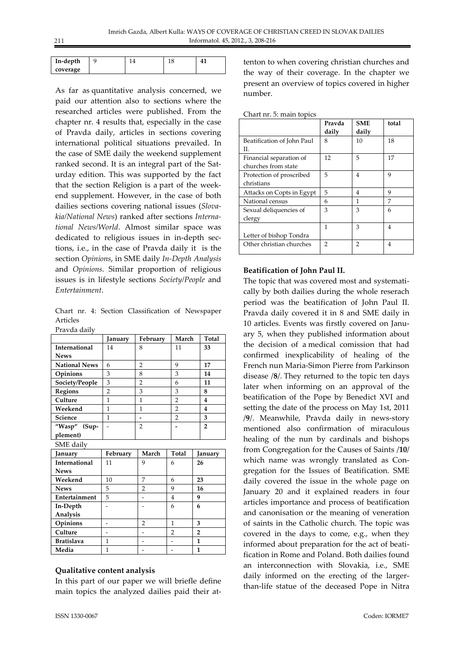| In-depth | u |  |  |
|----------|---|--|--|
| coverage |   |  |  |

As far as quantitative analysis concerned, we paid our attention also to sections where the researched articles were published. From the chapter nr. 4 results that, especially in the case of Pravda daily, articles in sections covering international political situations prevailed. In the case of SME daily the weekend supplement ranked second. It is an integral part of the Saturday edition. This was supported by the fact that the section Religion is a part of the weekend supplement. However, in the case of both dailies sections covering national issues (*Slovakia/National News*) ranked after sections *International News/World*. Almost similar space was dedicated to religious issues in in-depth sections, i.e., in the case of Pravda daily it is the section *Opinions*, in SME daily *In-Depth Analysis*  and *Opinions*. Similar proportion of religious issues is in lifestyle sections *Society/People* and *Entertainment*.

Chart nr. 4: Section Classification of Newspaper Articles Pravda daily

| 1 Ia vua uaii v      |                |                |                |                |
|----------------------|----------------|----------------|----------------|----------------|
|                      | January        | February       | March          | Total          |
| International        | 14             | 8              | 11             | 33             |
| <b>News</b>          |                |                |                |                |
| <b>National News</b> | 6              | 2              | 9              | 17             |
| Opinions             | 3              | 8              | 3              | 14             |
| Society/People       | 3              | $\overline{2}$ | 6              | 11             |
| <b>Regions</b>       | $\overline{2}$ | 3              | 3              | 8              |
| Culture              | 1              | 1              | $\overline{2}$ | 4              |
| Weekend              | 1              | 1              | 2              | 4              |
| Science              | 1              |                | $\overline{2}$ | 3              |
| "Wasp" (Sup-         |                | 2              |                | $\overline{2}$ |
| plement)             |                |                |                |                |
| $C1.4E - 1.21$       |                |                |                |                |

| SME daily            |          |       |              |                |
|----------------------|----------|-------|--------------|----------------|
| January              | February | March | <b>Total</b> | January        |
| <b>International</b> | 11       | 9     | 6            | 26             |
| <b>News</b>          |          |       |              |                |
| Weekend              | 10       | 7     | 6            | 23             |
| <b>News</b>          | 5        | 2     | 9            | 16             |
| Entertainment        | 5        |       | 4            | 9              |
| In-Depth             |          |       | 6            | 6              |
| Analysis             |          |       |              |                |
| Opinions             |          | 2     | 1            | 3              |
| Culture              |          |       | 2            | $\overline{2}$ |
| <b>Bratislava</b>    | 1        |       |              | 1              |
| Media                |          |       |              |                |

#### **Qualitative content analysis**

In this part of our paper we will briefle define main topics the analyzed dailies paid their attenton to when covering christian churches and the way of their coverage. In the chapter we present an overview of topics covered in higher number.

|                            | Pravda | <b>SME</b> | total |
|----------------------------|--------|------------|-------|
|                            | daily  | daily      |       |
| Beatification of John Paul | 8      | 10         | 18    |
| H.                         |        |            |       |
| Financial separation of    | 12     | 5          | 17    |
| churches from state        |        |            |       |
| Protection of proscribed   | 5      | 4          | 9     |
| christians                 |        |            |       |
| Attacks on Copts in Egypt  | 5      | 4          | 9     |
| National census            | 6      | 1          | 7     |
| Sexual deliquencies of     | 3      | 3          | 6     |
| clergy                     |        |            |       |
|                            | 1      | 3          | 4     |
| Letter of bishop Tondra    |        |            |       |
| Other christian churches   | 2      | 2          | 4     |

#### **Beatification of John Paul II.**

The topic that was covered most and systematically by both dailies during the whole reserach period was the beatification of John Paul II. Pravda daily covered it in 8 and SME daily in 10 articles. Events was firstly covered on January 5, when they published information about the decision of a medical comission that had confirmed inexplicability of healing of the French nun Maria-Simon Pierre from Parkinson disease /**8**/. They returned to the topic ten days later when informing on an approval of the beatification of the Pope by Benedict XVI and setting the date of the process on May 1st, 2011 /**9**/. Meanwhile, Pravda daily in news-story mentioned also confirmation of miraculous healing of the nun by cardinals and bishops from Congregation for the Causes of Saints /**10**/ which name was wrongly translated as Congregation for the Issues of Beatification. SME daily covered the issue in the whole page on January 20 and it explained readers in four articles importance and process of beatification and canonisation or the meaning of veneration of saints in the Catholic church. The topic was covered in the days to come, e.g., when they informed about preparation for the act of beatification in Rome and Poland. Both dailies found an interconnection with Slovakia, i.e., SME daily informed on the erecting of the largerthan-life statue of the deceased Pope in Nitra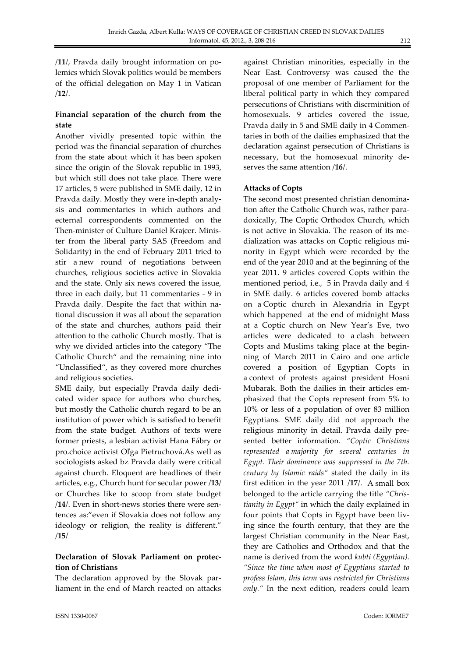/**11**/, Pravda daily brought information on polemics which Slovak politics would be members of the official delegation on May 1 in Vatican /**12**/.

## **Financial separation of the church from the state**

Another vividly presented topic within the period was the financial separation of churches from the state about which it has been spoken since the origin of the Slovak republic in 1993, but which still does not take place. There were 17 articles, 5 were published in SME daily, 12 in Pravda daily. Mostly they were in-depth analysis and commentaries in which authors and ecternal correspondents commented on the Then-minister of Culture Daniel Krajcer. Minister from the liberal party SAS (Freedom and Solidarity) in the end of February 2011 tried to stir a new round of negotiations between churches, religious societies active in Slovakia and the state. Only six news covered the issue, three in each daily, but 11 commentaries - 9 in Pravda daily. Despite the fact that within national discussion it was all about the separation of the state and churches, authors paid their attention to the catholic Church mostly. That is why we divided articles into the category "The Catholic Church" and the remaining nine into "Unclassified", as they covered more churches and religious societies.

SME daily, but especially Pravda daily dedicated wider space for authors who churches, but mostly the Catholic church regard to be an institution of power which is satisfied to benefit from the state budget. Authors of texts were former priests, a lesbian activist Hana Fábry or pro.choice activist Oľga Pietruchová.As well as sociologists asked bz Pravda daily were critical against church. Eloquent are headlines of their articles, e.g., Church hunt for secular power /**13**/ or Churches like to scoop from state budget /**14**/. Even in short-news stories there were sentences as:"even if Slovakia does not follow any ideology or religion, the reality is different." /**15**/

## **Declaration of Slovak Parliament on protection of Christians**

The declaration approved by the Slovak parliament in the end of March reacted on attacks against Christian minorities, especially in the Near East. Controversy was caused the the proposal of one member of Parliament for the liberal political party in which they compared persecutions of Christians with discrminition of homosexuals. 9 articles covered the issue, Pravda daily in 5 and SME daily in 4 Commentaries in both of the dailies emphasized that the declaration against persecution of Christians is necessary, but the homosexual minority deserves the same attention /**16**/.

## **Attacks of Copts**

The second most presented christian denomination after the Catholic Church was, rather paradoxically, The Coptic Orthodox Church, which is not active in Slovakia. The reason of its medialization was attacks on Coptic religious minority in Egypt which were recorded by the end of the year 2010 and at the beginning of the year 2011. 9 articles covered Copts within the mentioned period, i.e., 5 in Pravda daily and 4 in SME daily. 6 articles covered bomb attacks on a Coptic church in Alexandria in Egypt which happened at the end of midnight Mass at a Coptic church on New Year's Eve, two articles were dedicated to a clash between Copts and Muslims taking place at the beginning of March 2011 in Cairo and one article covered a position of Egyptian Copts in a context of protests against president Hosni Mubarak. Both the dailies in their articles emphasized that the Copts represent from 5% to 10% or less of a population of over 83 million Egyptians. SME daily did not approach the religious minority in detail. Pravda daily presented better information. *"Coptic Christians represented a majority for several centuries in Egypt. Their dominance was suppressed in the 7th. century by Islamic raids"* stated the daily in its first edition in the year 2011 /**17**/. A small box belonged to the article carrying the title *"Christianity in Egypt"* in which the daily explained in four points that Copts in Egypt have been living since the fourth century, that they are the largest Christian community in the Near East, they are Catholics and Orthodox and that the name is derived from the word *kubti (Egyptian). "Since the time when most of Egyptians started to profess Islam, this term was restricted for Christians only."* In the next edition, readers could learn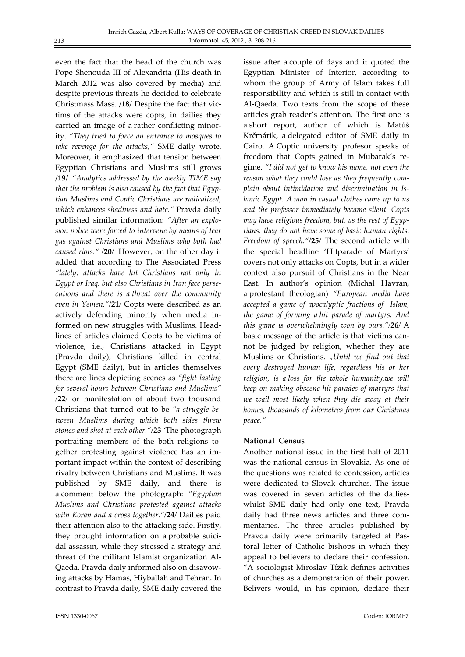even the fact that the head of the church was Pope Shenouda III of Alexandria (His death in March 2012 was also covered by media) and despite previous threats he decided to celebrate Christmass Mass. /**18**/ Despite the fact that victims of the attacks were copts, in dailies they carried an image of a rather conflicting minority. *"They tried to force an entrance to mosques to take revenge for the attacks,"* SME daily wrote. Moreover, it emphasized that tension between Egyptian Christians and Muslims still grows /**19**/. *"Analytics addressed by the weekly TIME say that the problem is also caused by the fact that Egyptian Muslims and Coptic Christians are radicalized, which enhances shadiness and hate."* Pravda daily published similar information: *"After an explosion police were forced to intervene by means of tear gas against Christians and Muslims who both had caused riots." /***20***/* However, on the other day it added that according to The Associated Press *"lately, attacks have hit Christians not only in Egypt or Iraq, but also Christians in Iran face persecutions and there is a threat over the community even in Yemen."/***21***/* Copts were described as an actively defending minority when media informed on new struggles with Muslims. Headlines of articles claimed Copts to be victims of violence, i.e., Christians attacked in Egypt (Pravda daily), Christians killed in central Egypt (SME daily), but in articles themselves there are lines depicting scenes as *"fight lasting for several hours between Christians and Muslims" /***22***/* or manifestation of about two thousand Christians that turned out to be *"a struggle between Muslims during which both sides threw stones and shot at each other."/***23** *'*The photograph portraiting members of the both religions together protesting against violence has an important impact within the context of describing rivalry between Christians and Muslims. It was published by SME daily, and there is a comment below the photograph: *"Egyptian Muslims and Christians protested against attacks with Koran and a cross together."/***24***/* Dailies paid their attention also to the attacking side. Firstly, they brought information on a probable suicidal assassin, while they stressed a strategy and threat of the militant Islamist organization Al-Qaeda. Pravda daily informed also on disavowing attacks by Hamas, Hiyballah and Tehran. In contrast to Pravda daily, SME daily covered the

issue after a couple of days and it quoted the Egyptian Minister of Interior, according to whom the group of Army of Islam takes full responsibility and which is still in contact with Al-Qaeda. Two texts from the scope of these articles grab reader's attention. The first one is a short report, author of which is Matúš Krčmárik, a delegated editor of SME daily in Cairo. A Coptic university profesor speaks of freedom that Copts gained in Mubarak's regime. *"I did not get to know his name, not even the reason what they could lose as they frequently complain about intimidation and discrimination in Islamic Egypt. A man in casual clothes came up to us and the professor immediately became silent. Copts may have religious freedom, but, as the rest of Egyptians, they do not have some of basic human rights. Freedom of speech."/***25***/* The second article with the special headline 'Hitparade of Martyrs' covers not only attacks on Copts, but in a wider context also pursuit of Christians in the Near East. In author's opinion (Michal Havran, a protestant theologian) *"European media have accepted a game of apocalyptic fractions of Islam, the game of forming a hit parade of martyrs. And this game is overwhelmingly won by ours."/***26***/* A basic message of the article is that victims cannot be judged by religion, whether they are Muslims or Christians. "Until we find out that *every destroyed human life, regardless his or her religion, is a loss for the whole humanity,we will keep on making obscene hit parades of martyrs that we wail most likely when they die away at their homes, thousands of kilometres from our Christmas peace."*

#### **National Census**

Another national issue in the first half of 2011 was the national census in Slovakia. As one of the questions was related to confession, articles were dedicated to Slovak churches. The issue was covered in seven articles of the dailieswhilst SME daily had only one text, Pravda daily had three news articles and three commentaries. The three articles published by Pravda daily were primarily targeted at Pastoral letter of Catholic bishops in which they appeal to believers to declare their confession. "A sociologist Miroslav Tížik defines activities of churches as a demonstration of their power. Belivers would, in his opinion, declare their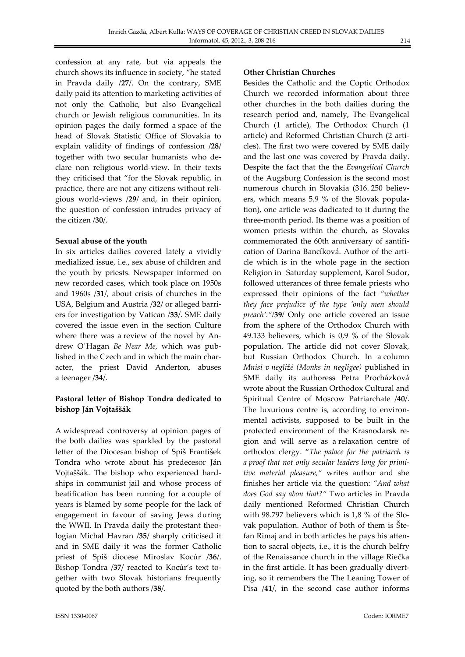confession at any rate, but via appeals the church shows its influence in society, "he stated in Pravda daily /**27**/. On the contrary, SME daily paid its attention to marketing activities of not only the Catholic, but also Evangelical church or Jewish religious communities. In its opinion pages the daily formed a space of the head of Slovak Statistic Office of Slovakia to explain validity of findings of confession /**28**/ together with two secular humanists who declare non religious world-view. In their texts they criticised that "for the Slovak republic, in practice, there are not any citizens without religious world-views /**29**/ and, in their opinion, the question of confession intrudes privacy of the citizen /**30**/.

#### **Sexual abuse of the youth**

In six articles dailies covered lately a vividly medialized issue, i.e., sex abuse of children and the youth by priests. Newspaper informed on new recorded cases, which took place on 1950s and 1960s /**31**/, about crisis of churches in the USA, Belgium and Austria /**32**/ or alleged barriers for investigation by Vatican /**33**/. SME daily covered the issue even in the section Culture where there was a review of the novel by Andrew O´Hagan *Be Near Me*, which was published in the Czech and in which the main character, the priest David Anderton, abuses a teenager /**34**/.

## **Pastoral letter of Bishop Tondra dedicated to bishop Ján Vojtaššák**

A widespread controversy at opinion pages of the both dailies was sparkled by the pastoral letter of the Diocesan bishop of Spiš František Tondra who wrote about his predecesor Ján Vojtaššák. The bishop who experienced hardships in communist jail and whose process of beatification has been running for a couple of years is blamed by some people for the lack of engagement in favour of saving Jews during the WWII. In Pravda daily the protestant theologian Michal Havran /**35**/ sharply criticised it and in SME daily it was the former Catholic priest of Spiš diocese Miroslav Kocúr /**36**/. Bishop Tondra /**37**/ reacted to Kocúr's text together with two Slovak historians frequently quoted by the both authors /**38**/.

## **Other Christian Churches**

Besides the Catholic and the Coptic Orthodox Church we recorded information about three other churches in the both dailies during the research period and, namely, The Evangelical Church (1 article), The Orthodox Church (1 article) and Reformed Christian Church (2 articles). The first two were covered by SME daily and the last one was covered by Pravda daily. Despite the fact that the the *Evangelical Church* of the Augsburg Confession is the second most numerous church in Slovakia (316. 250 believers, which means 5.9 % of the Slovak population), one article was dadicated to it during the three-month period. Its theme was a position of women priests within the church, as Slovaks commemorated the 60th anniversary of santification of Darina Bancíková. Author of the article which is in the whole page in the section Religion in Saturday supplement, Karol Sudor, followed utterances of three female priests who expressed their opinions of the fact *"whether they face prejudice of the type 'only men should preach'."/***39***/* Only one article covered an issue from the sphere of the Orthodox Church with 49.133 believers, which is 0,9 % of the Slovak population. The article did not cover Slovak, but Russian Orthodox Church. In a column *Mnísi v negližé (Monks in negligee)* published in SME daily its authoress Petra Procházková wrote about the Russian Orthodox Cultural and Spiritual Centre of Moscow Patriarchate /**40**/. The luxurious centre is, according to environmental activists, supposed to be built in the protected environment of the Krasnodarsk region and will serve as a relaxation centre of orthodox clergy. "*The palace for the patriarch is a proof that not only secular leaders long for primitive material pleasure,"* writes author and she finishes her article via the question: *"And what does God say abou that?"* Two articles in Pravda daily mentioned Reformed Christian Church with 98.797 believers which is 1,8 % of the Slovak population. Author of both of them is Štefan Rimaj and in both articles he pays his attention to sacral objects, i.e., it is the church belfry of the Renaissance church in the village Riečka in the first article. It has been gradually diverting, so it remembers the The Leaning Tower of Pisa /**41**/, in the second case author informs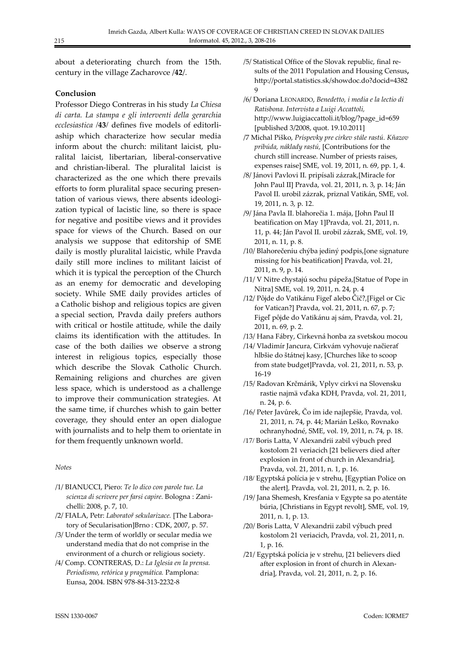about a deteriorating church from the 15th. century in the village Zacharovce /**42**/.

#### **Conclusion**

Professor Diego Contreras in his study *La Chiesa di carta. La stampa e gli interventi della gerarchia ecclesiastica /***43***/* defines five models of editorliaship which characterize how secular media inform about the church: militant laicist, pluralital laicist, libertarian, liberal-conservative and christian-liberal. The pluralital laicist is characterized as the one which there prevails efforts to form pluralital space securing presentation of various views, there absents ideologization typical of lacistic line, so there is space for negative and positibe views and it provides space for views of the Church. Based on our analysis we suppose that editorship of SME daily is mostly pluralital laicistic, while Pravda daily still more inclines to militant laicist of which it is typical the perception of the Church as an enemy for democratic and developing society. While SME daily provides articles of a Catholic bishop and religious topics are given a special section, Pravda daily prefers authors with critical or hostile attitude, while the daily claims its identification with the attitudes. In case of the both dailies we observe a strong interest in religious topics, especially those which describe the Slovak Catholic Church. Remaining religions and churches are given less space, which is understood as a challenge to improve their communication strategies. At the same time, if churches whish to gain better coverage, they should enter an open dialogue with journalists and to help them to orientate in for them frequently unknown world.

#### *Notes*

- /1/ BIANUCCI, Piero: *Te lo dico con parole tue. La scienza di scrivere per farsi capire.* Bologna : Zanichelli: 2008, p. 7, 10.
- /2/ FIALA, Petr: *Laboratoř sekularizace.* [The Laboratory of Secularisation]Brno : CDK, 2007, p. 57.
- /3/ Under the term of worldly or secular media we understand media that do not comprise in the environment of a church or religious society.
- /4/ Comp. CONTRERAS, D.: *La Iglesia en la prensa. Periodismo, retórica y pragmática.* Pamplona: Eunsa, 2004. ISBN 978-84-313-2232-8
- /5/ Statistical Office of the Slovak republic, final results of the 2011 Population and Housing Census**,** http://portal.statistics.sk/showdoc.do?docid=4382 9
- /6/ Doriana LEONARDO, *Benedetto, i media e la lectio di Ratisbona. Intervista a Luigi Accattoli,*  http://www.luigiaccattoli.it/blog/?page\_id=659 [published 3/2008, quot. 19.10.2011]
- /7 Michal Piško, *Príspevky pre cirkev stále rastú. Kňazov pribúda, náklady rastú,* [Contributions for the church still increase. Number of priests raises, expenses raise] SME, vol. 19, 2011, n. 69, pp. 1, 4.
- /8/ Jánovi Pavlovi II. pripísali zázrak,[Miracle for John Paul II] Pravda, vol. 21, 2011, n. 3, p. 14; Ján Pavol II. urobil zázrak, priznal Vatikán, SME, vol. 19, 2011, n. 3, p. 12.
- /9/ Jána Pavla II. blahorečia 1. mája, [John Paul II beatification on May 1]Pravda, vol. 21, 2011, n. 11, p. 44; Ján Pavol II. urobil zázrak, SME, vol. 19, 2011, n. 11, p. 8.
- /10/ Blahorečeniu chýba jediný podpis,[one signature missing for his beatification] Pravda, vol. 21, 2011, n. 9, p. 14.
- /11/ V Nitre chystajú sochu pápeža,[Statue of Pope in Nitra] SME, vol. 19, 2011, n. 24, p. 4
- /12/ Pôjde do Vatikánu Figeľ alebo Čič?,[Figel or Cic for Vatican?] Pravda, vol. 21, 2011, n. 67, p. 7; Figeľ pôjde do Vatikánu aj sám, Pravda, vol. 21, 2011, n. 69, p. 2.
- /13/ Hana Fábry, Cirkevná honba za svetskou mocou
- /14/ Vladimír Jancura, Cirkvám vyhovuje načierať hlbšie do štátnej kasy, [Churches like to scoop from state budget]Pravda, vol. 21, 2011, n. 53, p. 16-19
- /15/ Radovan Krčmárik, Vplyv cirkvi na Slovensku rastie najmä vďaka KDH, Pravda, vol. 21, 2011, n. 24, p. 6.
- /16/ Peter Javůrek, Čo im ide najlepšie, Pravda, vol. 21, 2011, n. 74, p. 44; Marián Leško, Rovnako ochranyhodné, SME, vol. 19, 2011, n. 74, p. 18.
- /17/ Boris Latta, V Alexandrii zabil výbuch pred kostolom 21 veriacich [21 believers died after explosion in front of church in Alexandria], Pravda, vol. 21, 2011, n. 1, p. 16.
- /18/ Egyptská polícia je v strehu, [Egyptian Police on the alert], Pravda, vol. 21, 2011, n. 2, p. 16.
- /19/ Jana Shemesh, Kresťania v Egypte sa po atentáte búria, [Christians in Egypt revolt], SME, vol. 19, 2011, n. 1, p. 13.
- /20/ Boris Latta, V Alexandrii zabil výbuch pred kostolom 21 veriacich, Pravda, vol. 21, 2011, n. 1, p. 16.
- /21/ Egyptská polícia je v strehu, [21 believers died after explosion in front of church in Alexandria], Pravda, vol. 21, 2011, n. 2, p. 16.